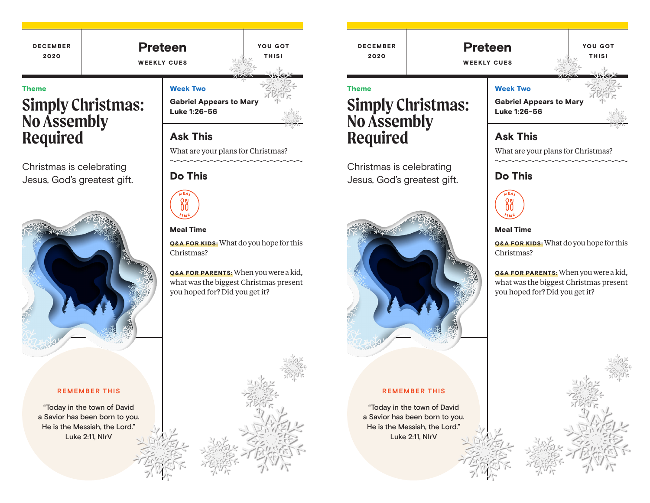### DECEMBER 2020 YOU GOT THIS! Preteen WEEKLY CUES Week Two Gabriel Appears to Mary Luke 1:26-56 Theme **Simply Christmas: No Assembly**

Ask This What are your plans for Christmas?

# Do This



### Meal Time

Q&A FOR KIDS: What do you hope for this Christmas?

Q&A FOR PARENTS: When you were a kid, what was the biggest Christmas present you hoped for? Did you get it?

Theme

DECEMBER 2020

# **Simply Christmas: No Assembly Required**

Christmas is celebrating Jesus, God's greatest gift.



### **REMEMBER THIS**

"Today in the town of David a Savior has been born to you. He is the Messiah, the Lord." Luke 2:11, NIrV



What are your plans for Christmas?

## Do This



### Meal Time

Q&A FOR KIDS: What do you hope for this Christmas?

Q&A FOR PARENTS: When you were a kid, what was the biggest Christmas present you hoped for? Did you get it?







**Required**

Christmas is celebrating Jesus, God's greatest gift.

### **REMEMBER THIS**

"Today in the town of David a Savior has been born to you. He is the Messiah, the Lord." Luke 2:11, NIrV